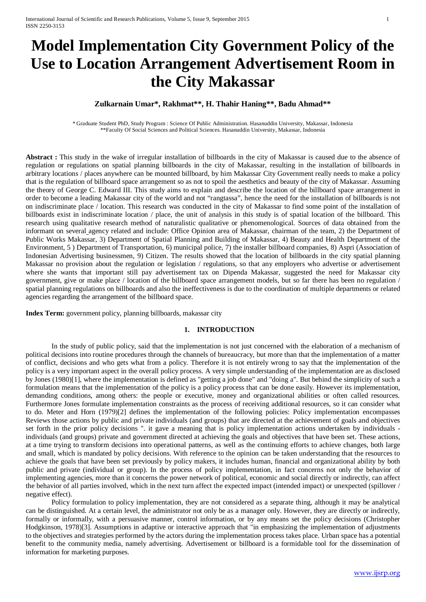# **Model Implementation City Government Policy of the Use to Location Arrangement Advertisement Room in the City Makassar**

## **Zulkarnain Umar\*, Rakhmat\*\*, H. Thahir Haning\*\*, Badu Ahmad\*\***

\* Graduate Student PhD, Study Program : Science Of Public Administration. Hasanuddin University, Makassar, Indonesia \*\*Faculty Of Social Sciences and Political Sciences. Hasanuddin University, Makassar, Indonesia

**Abstract :** This study in the wake of irregular installation of billboards in the city of Makassar is caused due to the absence of regulation or regulations on spatial planning billboards in the city of Makassar, resulting in the installation of billboards in arbitrary locations / places anywhere can be mounted billboard, by him Makassar City Government really needs to make a policy that is the regulation of billboard space arrangement so as not to spoil the aesthetics and beauty of the city of Makassar. Assuming the theory of George C. Edward III. This study aims to explain and describe the location of the billboard space arrangement in order to become a leading Makassar city of the world and not "rangtassa", hence the need for the installation of billboards is not on indiscriminate place / location. This research was conducted in the city of Makassar to find some point of the installation of billboards exist in indiscriminate location / place, the unit of analysis in this study is of spatial location of the billboard. This research using qualitative research method of naturalistic qualitative or phenomenological. Sources of data obtained from the informant on several agency related and include: Office Opinion area of Makassar, chairman of the team, 2) the Department of Public Works Makassar, 3) Department of Spatial Planning and Building of Makassar, 4) Beauty and Health Department of the Environment, 5 ) Department of Transportation, 6) municipal police, 7) the installer billboard companies, 8) Aspri (Association of Indonesian Advertising businessmen, 9) Citizen. The results showed that the location of billboards in the city spatial planning Makassar no provision about the regulation or legislation / regulations, so that any employers who advertise or advertisement where she wants that important still pay advertisement tax on Dipenda Makassar*,* suggested the need for Makassar city government, give or make place / location of the billboard space arrangement models, but so far there has been no regulation / spatial planning regulations on billboards and also the ineffectiveness is due to the coordination of multiple departments or related agencies regarding the arrangement of the billboard space.

**Index Term:** government policy, planning billboards, makassar city

## **1. INTRODUCTION**

In the study of public policy, said that the implementation is not just concerned with the elaboration of a mechanism of political decisions into routine procedures through the channels of bureaucracy, but more than that the implementation of a matter of conflict, decisions and who gets what from a policy. Therefore it is not entirely wrong to say that the implementation of the policy is a very important aspect in the overall policy process. A very simple understanding of the implementation are as disclosed by Jones (1980)[1], where the implementation is defined as "getting a job done" and "doing a". But behind the simplicity of such a formulation means that the implementation of the policy is a policy process that can be done easily. However its implementation, demanding conditions, among others: the people or executive, money and organizational abilities or often called resources. Furthermore Jones formulate implementation constraints as the process of receiving additional resources, so it can consider what to do. Meter and Horn (1979)[2] defines the implementation of the following policies: Policy implementation encompasses Reviews those actions by public and private individuals (and groups) that are directed at the achievement of goals and objectives set forth in the prior policy decisions ". it gave a meaning that is policy implementation actions undertaken by individuals individuals (and groups) private and government directed at achieving the goals and objectives that have been set. These actions, at a time trying to transform decisions into operational patterns, as well as the continuing efforts to achieve changes, both large and small, which is mandated by policy decisions. With reference to the opinion can be taken understanding that the resources to achieve the goals that have been set previously by policy makers, it includes human, financial and organizational ability by both public and private (individual or group). In the process of policy implementation, in fact concerns not only the behavior of implementing agencies, more than it concerns the power network of political, economic and social directly or indirectly, can affect the behavior of all parties involved, which in the next turn affect the expected impact (intended impact) or unexpected (spillover / negative effect).

Policy formulation to policy implementation, they are not considered as a separate thing, although it may be analytical can be distinguished. At a certain level, the administrator not only be as a manager only. However, they are directly or indirectly, formally or informally, with a persuasive manner, control information, or by any means set the policy decisions (Christopher Hodgkinson, 1978)[3]. Assumptions in adaptive or interactive approach that "in emphasizing the implementation of adjustments to the objectives and strategies performed by the actors during the implementation process takes place. Urban space has a potential benefit to the community media, namely advertising. Advertisement or billboard is a formidable tool for the dissemination of information for marketing purposes.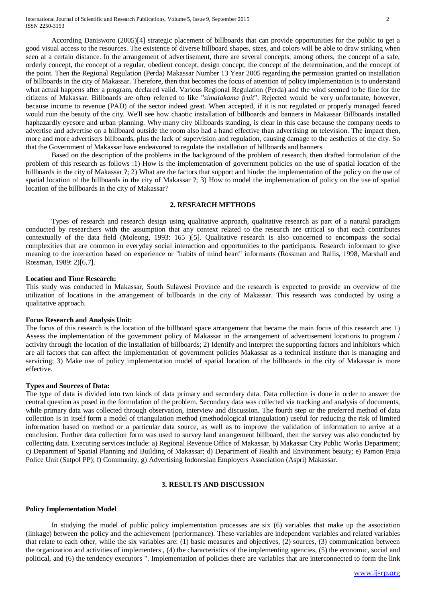According Danisworo (2005)[4] strategic placement of billboards that can provide opportunities for the public to get a good visual access to the resources. The existence of diverse billboard shapes, sizes, and colors will be able to draw striking when seen at a certain distance. In the arrangement of advertisement, there are several concepts, among others, the concept of a safe, orderly concept, the concept of a regular, obedient concept, design concept, the concept of the determination, and the concept of the point. Then the Regional Regulation (Perda) Makassar Number 13 Year 2005 regarding the permission granted on installation of billboards in the city of Makassar. Therefore, then that becomes the focus of attention of policy implementation is to understand what actual happens after a program, declared valid. Various Regional Regulation (Perda) and the wind seemed to be fine for the citizens of Makassar. Billboards are often referred to like "*simalakama fruit*". Rejected would be very unfortunate, however, because income to revenue (PAD) of the sector indeed great. When accepted, if it is not regulated or properly managed feared would ruin the beauty of the city. We'll see how chaotic installation of billboards and banners in Makassar Billboards installed haphazardly eyesore and urban planning. Why many city billboards standing, is clear in this case because the company needs to advertise and advertise on a billboard outside the room also had a hand effective than advertising on television. The impact then, more and more advertisers billboards, plus the lack of supervision and regulation, causing damage to the aesthetics of the city. So that the Government of Makassar have endeavored to regulate the installation of billboards and banners.

Based on the description of the problems in the background of the problem of research, then drafted formulation of the problem of this research as follows :1) How is the implementation of government policies on the use of spatial location of the billboards in the city of Makassar ?; 2) What are the factors that support and hinder the implementation of the policy on the use of spatial location of the billboards in the city of Makassar ?; 3) How to model the implementation of policy on the use of spatial location of the billboards in the city of Makassar?

#### **2. RESEARCH METHODS**

Types of research and research design using qualitative approach, qualitative research as part of a natural paradigm conducted by researchers with the assumption that any context related to the research are critical so that each contributes contextually of the data field (Moleong, 1993: 165 )[5]. Qualitative research is also concerned to encompass the social complexities that are common in everyday social interaction and opportunities to the participants. Research informant to give meaning to the interaction based on experience or "habits of mind heart" informants (Rossman and Rallis, 1998, Marshall and Rossman, 1989: 2)[6,7].

## **Location and Time Research:**

This study was conducted in Makassar, South Sulawesi Province and the research is expected to provide an overview of the utilization of locations in the arrangement of billboards in the city of Makassar. This research was conducted by using a qualitative approach.

## **Focus Research and Analysis Unit:**

The focus of this research is the location of the billboard space arrangement that became the main focus of this research are: 1) Assess the implementation of the government policy of Makassar in the arrangement of advertisement locations to program / activity through the location of the installation of billboards; 2) Identify and interpret the supporting factors and inhibitors which are all factors that can affect the implementation of government policies Makassar as a technical institute that is managing and servicing; 3) Make use of policy implementation model of spatial location of the billboards in the city of Makassar is more effective.

#### **Types and Sources of Data:**

The type of data is divided into two kinds of data primary and secondary data. Data collection is done in order to answer the central question as posed in the formulation of the problem. Secondary data was collected via tracking and analysis of documents, while primary data was collected through observation, interview and discussion. The fourth step or the preferred method of data collection is in itself form a model of triangulation method (methodological triangulation) useful for reducing the risk of limited information based on method or a particular data source, as well as to improve the validation of information to arrive at a conclusion. Further data collection form was used to survey land arrangement billboard, then the survey was also conducted by collecting data. Executing services include: a) Regional Revenue Office of Makassar, b) Makassar City Public Works Department; c) Department of Spatial Planning and Building of Makassar; d) Department of Health and Environment beauty; e) Pamon Praja Police Unit (Satpol PP); f) Community; g) Advertising Indonesian Employers Association (Aspri) Makassar.

## **3. RESULTS AND DISCUSSION**

#### **Policy Implementation Model**

In studying the model of public policy implementation processes are six (6) variables that make up the association (linkage) between the policy and the achievement (performance). These variables are independent variables and related variables that relate to each other, while the six variables are: (1) basic measures and objectives, (2) sources, (3) communication between the organization and activities of implementers , (4) the characteristics of the implementing agencies, (5) the economic, social and political, and (6) the tendency executors ". Implementation of policies there are variables that are interconnected to form the link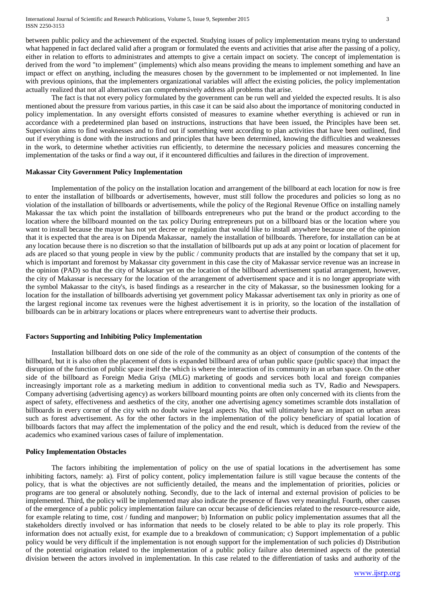between public policy and the achievement of the expected. Studying issues of policy implementation means trying to understand what happened in fact declared valid after a program or formulated the events and activities that arise after the passing of a policy, either in relation to efforts to administrates and attempts to give a certain impact on society. The concept of implementation is derived from the word "to implement" (implements) which also means providing the means to implement something and have an impact or effect on anything, including the measures chosen by the government to be implemented or not implemented. In line with previous opinions, that the implementers organizational variables will affect the existing policies, the policy implementation actually realized that not all alternatives can comprehensively address all problems that arise.

The fact is that not every policy formulated by the government can be run well and yielded the expected results. It is also mentioned about the pressure from various parties, in this case it can be said also about the importance of monitoring conducted in policy implementation. In any oversight efforts consisted of measures to examine whether everything is achieved or run in accordance with a predetermined plan based on instructions, instructions that have been issued, the Principles have been set. Supervision aims to find weaknesses and to find out if something went according to plan activities that have been outlined, find out if everything is done with the instructions and principles that have been determined, knowing the difficulties and weaknesses in the work, to determine whether activities run efficiently, to determine the necessary policies and measures concerning the implementation of the tasks or find a way out, if it encountered difficulties and failures in the direction of improvement.

#### **Makassar City Government Policy Implementation**

Implementation of the policy on the installation location and arrangement of the billboard at each location for now is free to enter the installation of billboards or advertisements, however, must still follow the procedures and policies so long as no violation of the installation of billboards or advertisements, while the policy of the Regional Revenue Office on installing namely Makassar the tax which point the installation of billboards entrepreneurs who put the brand or the product according to the location where the billboard mounted on the tax policy During entrepreneurs put on a billboard bias or the location where you want to install because the mayor has not yet decree or regulation that would like to install anywhere because one of the opinion that it is expected that the area is on Dipenda Makassar*,* namely the installation of billboards. Therefore, for installation can be at any location because there is no discretion so that the installation of billboards put up ads at any point or location of placement for ads are placed so that young people in view by the public / community products that are installed by the company that set it up, which is important and foremost by Makassar city government in this case the city of Makassar service revenue was an increase in the opinion (PAD) so that the city of Makassar yet on the location of the billboard advertisement spatial arrangement, however, the city of Makassar is necessary for the location of the arrangement of advertisement space and it is no longer appropriate with the symbol Makassar to the city's, is based findings as a researcher in the city of Makassar, so the businessmen looking for a location for the installation of billboards advertising yet government policy Makassar advertisement tax only in priority as one of the largest regional income tax revenues were the highest advertisement it is in priority, so the location of the installation of billboards can be in arbitrary locations or places where entrepreneurs want to advertise their products.

#### **Factors Supporting and Inhibiting Policy Implementation**

Installation billboard dots on one side of the role of the community as an object of consumption of the contents of the billboard, but it is also often the placement of dots is expanded billboard area of urban public space (public space) that impact the disruption of the function of public space itself the which is where the interaction of its community in an urban space. On the other side of the billboard as Foreign Media Griya (MLG) marketing of goods and services both local and foreign companies increasingly important role as a marketing medium in addition to conventional media such as TV, Radio and Newspapers. Company advertising (advertising agency) as workers billboard mounting points are often only concerned with its clients from the aspect of safety, effectiveness and aesthetics of the city, another one advertising agency sometimes scramble dots installation of billboards in every corner of the city with no doubt waive legal aspects No, that will ultimately have an impact on urban areas such as forest advertisement. As for the other factors in the implementation of the policy beneficiary of spatial location of billboards factors that may affect the implementation of the policy and the end result, which is deduced from the review of the academics who examined various cases of failure of implementation.

## **Policy Implementation Obstacles**

The factors inhibiting the implementation of policy on the use of spatial locations in the advertisement has some inhibiting factors, namely: a). First of policy content, policy implementation failure is still vague because the contents of the policy, that is what the objectives are not sufficiently detailed, the means and the implementation of priorities, policies or programs are too general or absolutely nothing. Secondly, due to the lack of internal and external provision of policies to be implemented. Third, the policy will be implemented may also indicate the presence of flaws very meaningful. Fourth, other causes of the emergence of a public policy implementation failure can occur because of deficiencies related to the resource-resource aide, for example relating to time, cost / funding and manpower; b) Information on public policy implementation assumes that all the stakeholders directly involved or has information that needs to be closely related to be able to play its role properly. This information does not actually exist, for example due to a breakdown of communication; c) Support implementation of a public policy would be very difficult if the implementation is not enough support for the implementation of such policies d) Distribution of the potential origination related to the implementation of a public policy failure also determined aspects of the potential division between the actors involved in implementation. In this case related to the differentiation of tasks and authority of the